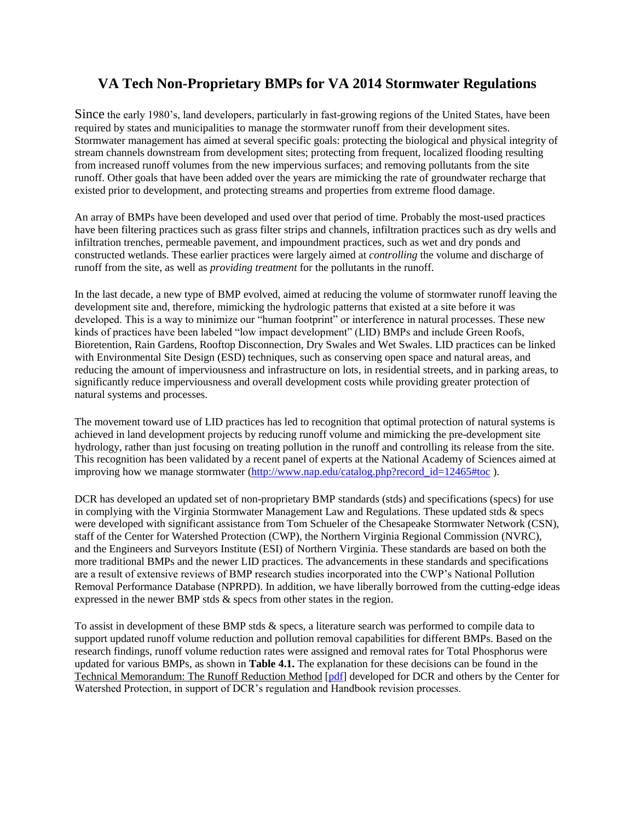## **VA Tech Non-Proprietary BMPs for VA 2014 Stormwater Regulations**

Since the early 1980's, land developers, particularly in fast-growing regions of the United States, have been required by states and municipalities to manage the stormwater runoff from their development sites. Stormwater management has aimed at several specific goals: protecting the biological and physical integrity of stream channels downstream from development sites; protecting from frequent, localized flooding resulting from increased runoff volumes from the new impervious surfaces; and removing pollutants from the site runoff. Other goals that have been added over the years are mimicking the rate of groundwater recharge that existed prior to development, and protecting streams and properties from extreme flood damage.

An array of BMPs have been developed and used over that period of time. Probably the most-used practices have been filtering practices such as grass filter strips and channels, infiltration practices such as dry wells and infiltration trenches, permeable pavement, and impoundment practices, such as wet and dry ponds and constructed wetlands. These earlier practices were largely aimed at *controlling* the volume and discharge of runoff from the site, as well as *providing treatment* for the pollutants in the runoff.

In the last decade, a new type of BMP evolved, aimed at reducing the volume of stormwater runoff leaving the development site and, therefore, mimicking the hydrologic patterns that existed at a site before it was developed. This is a way to minimize our "human footprint" or interference in natural processes. These new kinds of practices have been labeled "low impact development" (LID) BMPs and include Green Roofs, Bioretention, Rain Gardens, Rooftop Disconnection, Dry Swales and Wet Swales. LID practices can be linked with Environmental Site Design (ESD) techniques, such as conserving open space and natural areas, and reducing the amount of imperviousness and infrastructure on lots, in residential streets, and in parking areas, to significantly reduce imperviousness and overall development costs while providing greater protection of natural systems and processes.

The movement toward use of LID practices has led to recognition that optimal protection of natural systems is achieved in land development projects by reducing runoff volume and mimicking the pre-development site hydrology, rather than just focusing on treating pollution in the runoff and controlling its release from the site. This recognition has been validated by a recent panel of experts at the National Academy of Sciences aimed at improving how we manage stormwater [\(http://www.nap.edu/catalog.php?record\\_id=12465#toc](http://vwrrc.vt.edu/swc/redirect/LeavingSWCWebsiteNAS.html?record_id=12465#toc) ).

DCR has developed an updated set of non-proprietary BMP standards (stds) and specifications (specs) for use in complying with the Virginia Stormwater Management Law and Regulations. These updated stds & specs were developed with significant assistance from Tom Schueler of the Chesapeake Stormwater Network (CSN), staff of the Center for Watershed Protection (CWP), the Northern Virginia Regional Commission (NVRC), and the Engineers and Surveyors Institute (ESI) of Northern Virginia. These standards are based on both the more traditional BMPs and the newer LID practices. The advancements in these standards and specifications are a result of extensive reviews of BMP research studies incorporated into the CWP's National Pollution Removal Performance Database (NPRPD). In addition, we have liberally borrowed from the cutting-edge ideas expressed in the newer BMP stds & specs from other states in the region.

To assist in development of these BMP stds & specs, a literature search was performed to compile data to support updated runoff volume reduction and pollution removal capabilities for different BMPs. Based on the research findings, runoff volume reduction rates were assigned and removal rates for Total Phosphorus were updated for various BMPs, as shown in **Table 4.1.** The explanation for these decisions can be found in the Technical Memorandum: The Runoff Reduction Method [\[pdf\]](http://vwrrc.vt.edu/swc/documents/pdf/TechnicalMemo.pdf) developed for DCR and others by the Center for Watershed Protection, in support of DCR's regulation and Handbook revision processes.